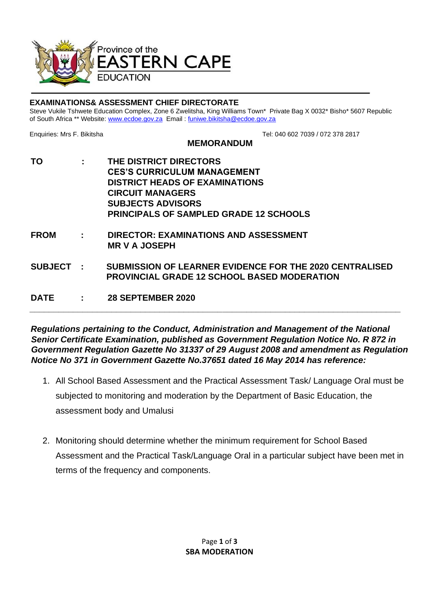

## **EXAMINATIONS& ASSESSMENT CHIEF DIRECTORATE**

Steve Vukile Tshwete Education Complex, Zone 6 Zwelitsha, King Williams Town\* Private Bag X 0032\* Bisho\* 5607 Republic of South Africa \*\* Website[: www.ecdoe.gov.za](http://www.ecdoe.gov.za/) Email : funiwe.bikitsha@ecdoe.gov.za

Enquiries: Mrs F. BikitshaTel: 040 602 7039 / 072 378 2817

## **MEMORANDUM**

**TO : THE DISTRICT DIRECTORS CES'S CURRICULUM MANAGEMENT DISTRICT HEADS OF EXAMINATIONS CIRCUIT MANAGERS SUBJECTS ADVISORS PRINCIPALS OF SAMPLED GRADE 12 SCHOOLS FROM : DIRECTOR: EXAMINATIONS AND ASSESSMENT MR V A JOSEPH SUBJECT : SUBMISSION OF LEARNER EVIDENCE FOR THE 2020 CENTRALISED PROVINCIAL GRADE 12 SCHOOL BASED MODERATION DATE : 28 SEPTEMBER 2020**

*Regulations pertaining to the Conduct, Administration and Management of the National Senior Certificate Examination, published as Government Regulation Notice No. R 872 in Government Regulation Gazette No 31337 of 29 August 2008 and amendment as Regulation Notice No 371 in Government Gazette No.37651 dated 16 May 2014 has reference:* 

**\_\_\_\_\_\_\_\_\_\_\_\_\_\_\_\_\_\_\_\_\_\_\_\_\_\_\_\_\_\_\_\_\_\_\_\_\_\_\_\_\_\_\_\_\_\_\_\_\_\_\_\_\_\_\_\_\_\_\_\_\_\_\_\_\_\_\_\_\_\_\_\_\_\_\_\_\_**

- 1. All School Based Assessment and the Practical Assessment Task/ Language Oral must be subjected to monitoring and moderation by the Department of Basic Education, the assessment body and Umalusi
- 2. Monitoring should determine whether the minimum requirement for School Based Assessment and the Practical Task/Language Oral in a particular subject have been met in terms of the frequency and components.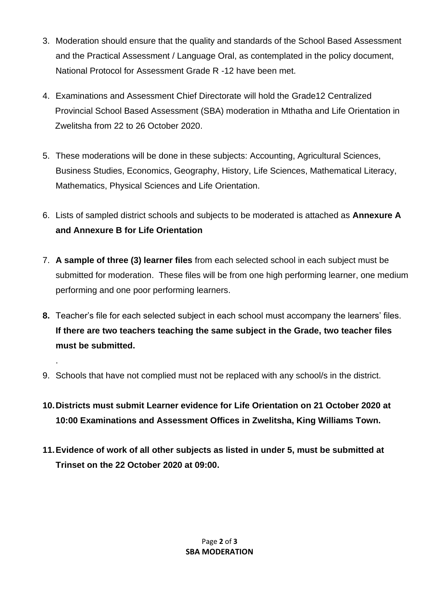- 3. Moderation should ensure that the quality and standards of the School Based Assessment and the Practical Assessment / Language Oral, as contemplated in the policy document, National Protocol for Assessment Grade R -12 have been met.
- 4. Examinations and Assessment Chief Directorate will hold the Grade12 Centralized Provincial School Based Assessment (SBA) moderation in Mthatha and Life Orientation in Zwelitsha from 22 to 26 October 2020.
- 5. These moderations will be done in these subjects: Accounting, Agricultural Sciences, Business Studies, Economics, Geography, History, Life Sciences, Mathematical Literacy, Mathematics, Physical Sciences and Life Orientation.
- 6. Lists of sampled district schools and subjects to be moderated is attached as **Annexure A and Annexure B for Life Orientation**
- 7. **A sample of three (3) learner files** from each selected school in each subject must be submitted for moderation. These files will be from one high performing learner, one medium performing and one poor performing learners.
- **8.** Teacher's file for each selected subject in each school must accompany the learners' files. **If there are two teachers teaching the same subject in the Grade, two teacher files must be submitted.**
- 9. Schools that have not complied must not be replaced with any school/s in the district.

.

- **10.Districts must submit Learner evidence for Life Orientation on 21 October 2020 at 10:00 Examinations and Assessment Offices in Zwelitsha, King Williams Town.**
- **11.Evidence of work of all other subjects as listed in under 5, must be submitted at Trinset on the 22 October 2020 at 09:00.**